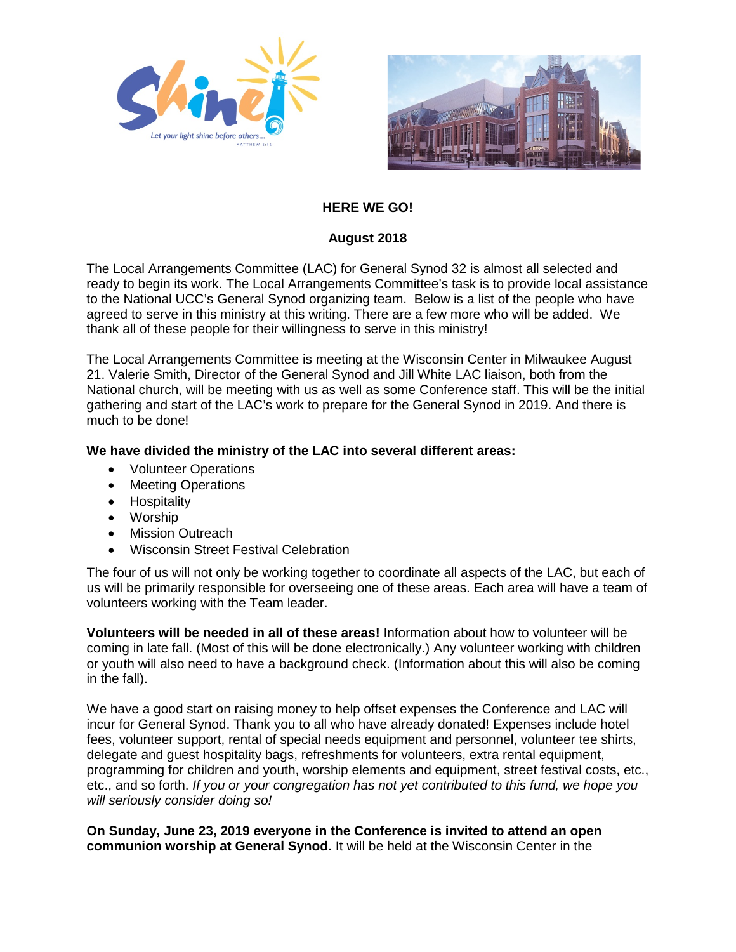



# **HERE WE GO!**

## **August 2018**

The Local Arrangements Committee (LAC) for General Synod 32 is almost all selected and ready to begin its work. The Local Arrangements Committee's task is to provide local assistance to the National UCC's General Synod organizing team. Below is a list of the people who have agreed to serve in this ministry at this writing. There are a few more who will be added. We thank all of these people for their willingness to serve in this ministry!

The Local Arrangements Committee is meeting at the Wisconsin Center in Milwaukee August 21. Valerie Smith, Director of the General Synod and Jill White LAC liaison, both from the National church, will be meeting with us as well as some Conference staff. This will be the initial gathering and start of the LAC's work to prepare for the General Synod in 2019. And there is much to be done!

### **We have divided the ministry of the LAC into several different areas:**

- Volunteer Operations
- Meeting Operations
- Hospitality
- Worship
- **Mission Outreach**
- Wisconsin Street Festival Celebration

The four of us will not only be working together to coordinate all aspects of the LAC, but each of us will be primarily responsible for overseeing one of these areas. Each area will have a team of volunteers working with the Team leader.

**Volunteers will be needed in all of these areas!** Information about how to volunteer will be coming in late fall. (Most of this will be done electronically.) Any volunteer working with children or youth will also need to have a background check. (Information about this will also be coming in the fall).

We have a good start on raising money to help offset expenses the Conference and LAC will incur for General Synod. Thank you to all who have already donated! Expenses include hotel fees, volunteer support, rental of special needs equipment and personnel, volunteer tee shirts, delegate and guest hospitality bags, refreshments for volunteers, extra rental equipment, programming for children and youth, worship elements and equipment, street festival costs, etc., etc., and so forth. *If you or your congregation has not yet contributed to this fund, we hope you will seriously consider doing so!* 

**On Sunday, June 23, 2019 everyone in the Conference is invited to attend an open communion worship at General Synod.** It will be held at the Wisconsin Center in the